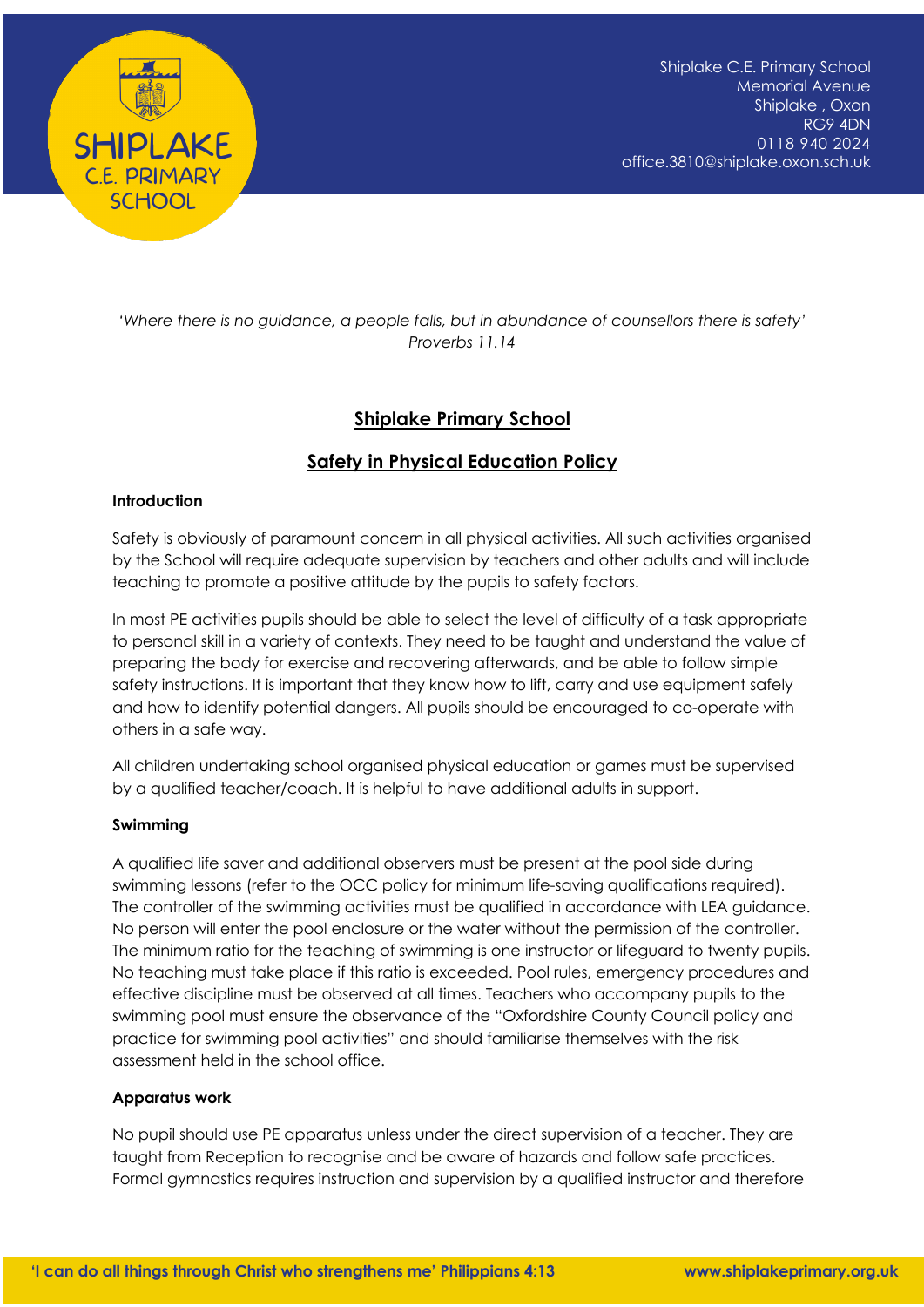

*'Where there is no guidance, a people falls, but in abundance of counsellors there is safety' Proverbs 11.14*

# **Shiplake Primary School**

# **Safety in Physical Education Policy**

## **Introduction**

Safety is obviously of paramount concern in all physical activities. All such activities organised by the School will require adequate supervision by teachers and other adults and will include teaching to promote a positive attitude by the pupils to safety factors.

In most PE activities pupils should be able to select the level of difficulty of a task appropriate to personal skill in a variety of contexts. They need to be taught and understand the value of preparing the body for exercise and recovering afterwards, and be able to follow simple safety instructions. It is important that they know how to lift, carry and use equipment safely and how to identify potential dangers. All pupils should be encouraged to co-operate with others in a safe way.

All children undertaking school organised physical education or games must be supervised by a qualified teacher/coach. It is helpful to have additional adults in support.

### **Swimming**

A qualified life saver and additional observers must be present at the pool side during swimming lessons (refer to the OCC policy for minimum life-saving qualifications required). The controller of the swimming activities must be qualified in accordance with LEA guidance. No person will enter the pool enclosure or the water without the permission of the controller. The minimum ratio for the teaching of swimming is one instructor or lifeguard to twenty pupils. No teaching must take place if this ratio is exceeded. Pool rules, emergency procedures and effective discipline must be observed at all times. Teachers who accompany pupils to the swimming pool must ensure the observance of the "Oxfordshire County Council policy and practice for swimming pool activities" and should familiarise themselves with the risk assessment held in the school office.

## **Apparatus work**

No pupil should use PE apparatus unless under the direct supervision of a teacher. They are taught from Reception to recognise and be aware of hazards and follow safe practices. Formal gymnastics requires instruction and supervision by a qualified instructor and therefore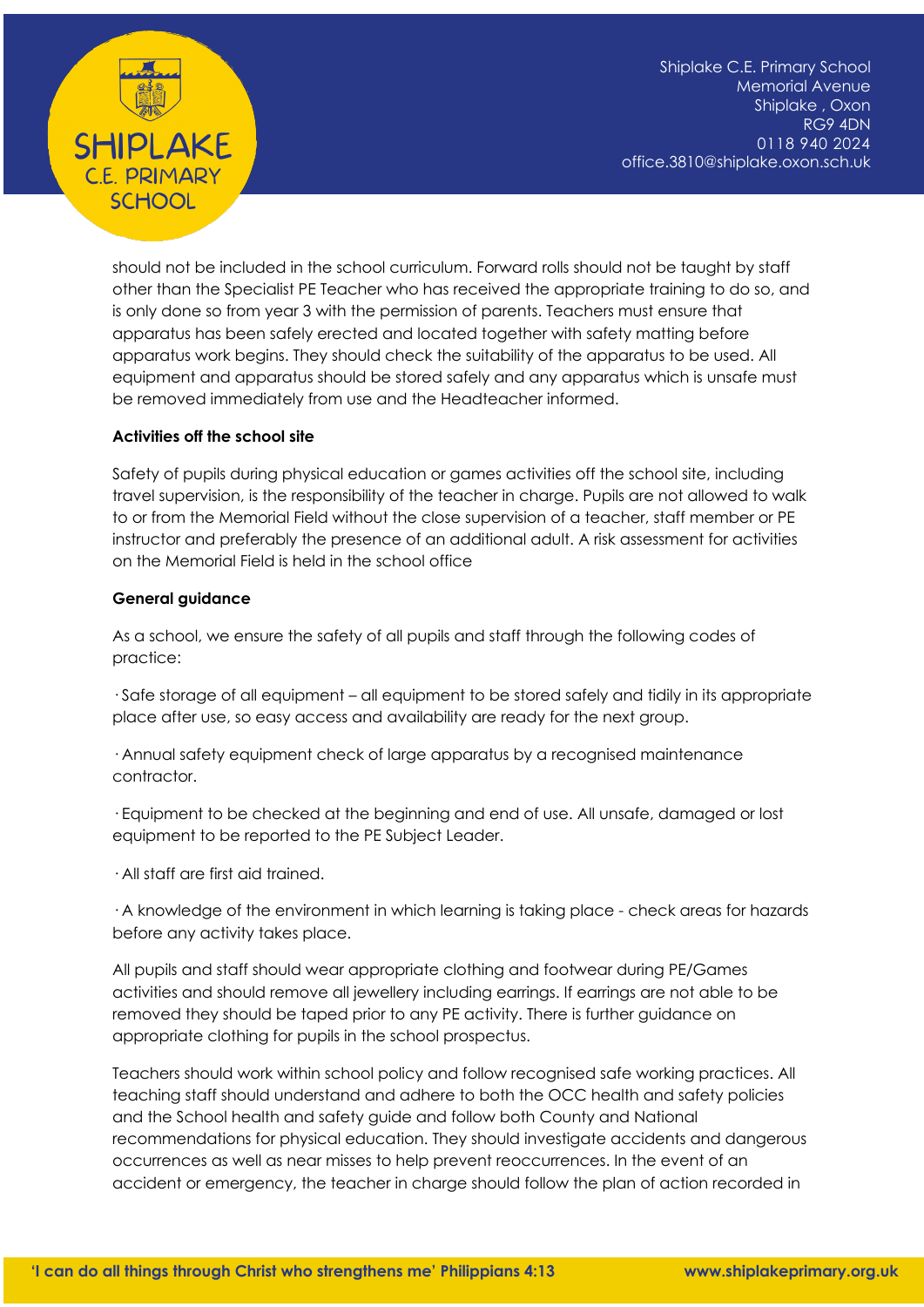

should not be included in the school curriculum. Forward rolls should not be taught by staff other than the Specialist PE Teacher who has received the appropriate training to do so, and is only done so from year 3 with the permission of parents. Teachers must ensure that apparatus has been safely erected and located together with safety matting before apparatus work begins. They should check the suitability of the apparatus to be used. All equipment and apparatus should be stored safely and any apparatus which is unsafe must be removed immediately from use and the Headteacher informed.

## **Activities off the school site**

Safety of pupils during physical education or games activities off the school site, including travel supervision, is the responsibility of the teacher in charge. Pupils are not allowed to walk to or from the Memorial Field without the close supervision of a teacher, staff member or PE instructor and preferably the presence of an additional adult. A risk assessment for activities on the Memorial Field is held in the school office

## **General guidance**

As a school, we ensure the safety of all pupils and staff through the following codes of practice:

· Safe storage of all equipment – all equipment to be stored safely and tidily in its appropriate place after use, so easy access and availability are ready for the next group.

· Annual safety equipment check of large apparatus by a recognised maintenance contractor.

· Equipment to be checked at the beginning and end of use. All unsafe, damaged or lost equipment to be reported to the PE Subject Leader.

· All staff are first aid trained.

· A knowledge of the environment in which learning is taking place - check areas for hazards before any activity takes place.

All pupils and staff should wear appropriate clothing and footwear during PE/Games activities and should remove all jewellery including earrings. If earrings are not able to be removed they should be taped prior to any PE activity. There is further guidance on appropriate clothing for pupils in the school prospectus.

Teachers should work within school policy and follow recognised safe working practices. All teaching staff should understand and adhere to both the OCC health and safety policies and the School health and safety guide and follow both County and National recommendations for physical education. They should investigate accidents and dangerous occurrences as well as near misses to help prevent reoccurrences. In the event of an accident or emergency, the teacher in charge should follow the plan of action recorded in